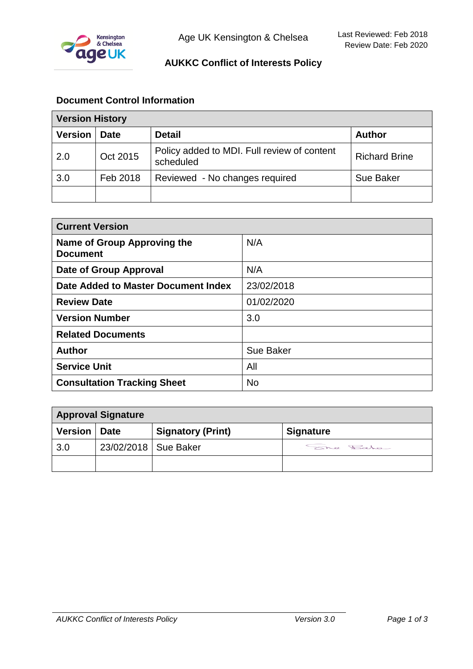

# **AUKKC Conflict of Interests Policy**

# **Document Control Information**

| <b>Version History</b> |             |                                                          |                      |
|------------------------|-------------|----------------------------------------------------------|----------------------|
| <b>Version</b>         | <b>Date</b> | <b>Detail</b>                                            | <b>Author</b>        |
| 2.0                    | Oct 2015    | Policy added to MDI. Full review of content<br>scheduled | <b>Richard Brine</b> |
| 3.0                    | Feb 2018    | Reviewed - No changes required                           | Sue Baker            |
|                        |             |                                                          |                      |

| <b>Current Version</b>                         |            |  |
|------------------------------------------------|------------|--|
| Name of Group Approving the<br><b>Document</b> | N/A        |  |
| Date of Group Approval                         | N/A        |  |
| Date Added to Master Document Index            | 23/02/2018 |  |
| <b>Review Date</b>                             | 01/02/2020 |  |
| <b>Version Number</b>                          | 3.0        |  |
| <b>Related Documents</b>                       |            |  |
| <b>Author</b>                                  | Sue Baker  |  |
| <b>Service Unit</b>                            | All        |  |
| <b>Consultation Tracking Sheet</b>             | <b>No</b>  |  |

| <b>Approval Signature</b> |                        |                          |                  |
|---------------------------|------------------------|--------------------------|------------------|
| Version   Date            |                        | <b>Signatory (Print)</b> | <b>Signature</b> |
| 3.0                       | 23/02/2018   Sue Baker |                          | She Rato         |
|                           |                        |                          |                  |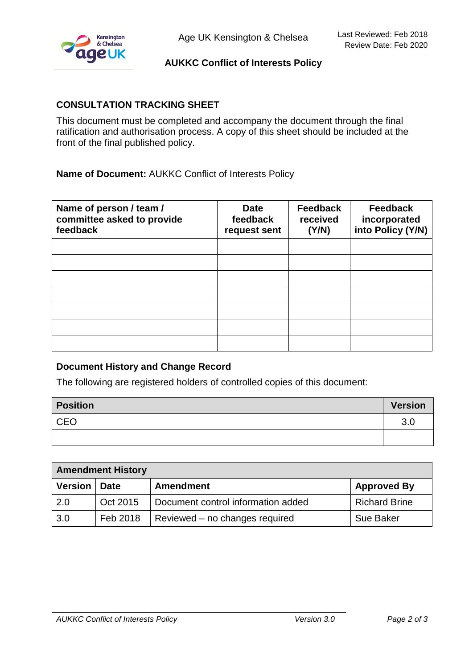

# **AUKKC Conflict of Interests Policy**

### **CONSULTATION TRACKING SHEET**

This document must be completed and accompany the document through the final ratification and authorisation process. A copy of this sheet should be included at the front of the final published policy.

**Name of Document:** AUKKC Conflict of Interests Policy

| Name of person / team /<br>committee asked to provide<br>feedback | <b>Date</b><br>feedback<br>request sent | <b>Feedback</b><br>received<br>(Y/N) | <b>Feedback</b><br>incorporated<br>into Policy (Y/N) |
|-------------------------------------------------------------------|-----------------------------------------|--------------------------------------|------------------------------------------------------|
|                                                                   |                                         |                                      |                                                      |
|                                                                   |                                         |                                      |                                                      |
|                                                                   |                                         |                                      |                                                      |
|                                                                   |                                         |                                      |                                                      |
|                                                                   |                                         |                                      |                                                      |
|                                                                   |                                         |                                      |                                                      |
|                                                                   |                                         |                                      |                                                      |

#### **Document History and Change Record**

The following are registered holders of controlled copies of this document:

| <b>Position</b> | <b>Version</b> |
|-----------------|----------------|
| <b>CEO</b>      | 3.0            |
|                 |                |

| <b>Amendment History</b> |          |                                    |                      |
|--------------------------|----------|------------------------------------|----------------------|
| <b>Version</b>           | ∣ Date   | <b>Amendment</b>                   | <b>Approved By</b>   |
| 2.0                      | Oct 2015 | Document control information added | <b>Richard Brine</b> |
| 3.0                      | Feb 2018 | Reviewed – no changes required     | <b>Sue Baker</b>     |